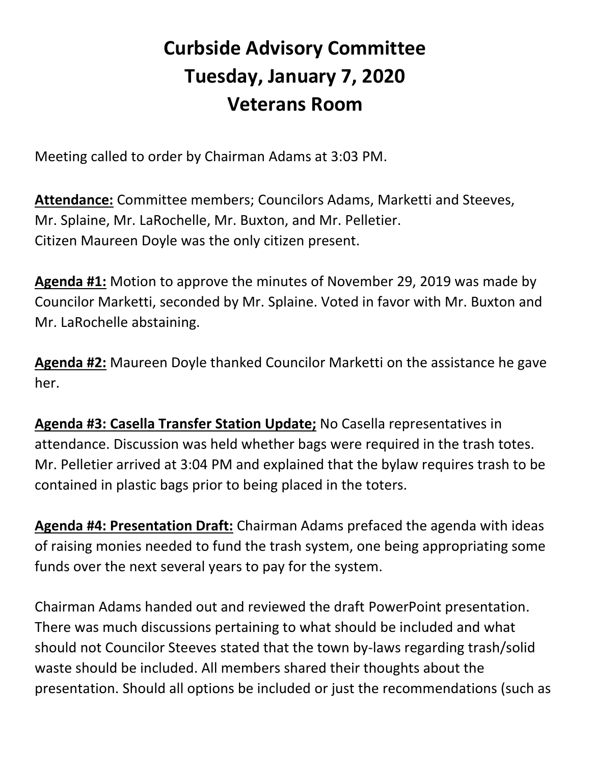## **Curbside Advisory Committee Tuesday, January 7, 2020 Veterans Room**

Meeting called to order by Chairman Adams at 3:03 PM.

**Attendance:** Committee members; Councilors Adams, Marketti and Steeves, Mr. Splaine, Mr. LaRochelle, Mr. Buxton, and Mr. Pelletier. Citizen Maureen Doyle was the only citizen present.

**Agenda #1:** Motion to approve the minutes of November 29, 2019 was made by Councilor Marketti, seconded by Mr. Splaine. Voted in favor with Mr. Buxton and Mr. LaRochelle abstaining.

**Agenda #2:** Maureen Doyle thanked Councilor Marketti on the assistance he gave her.

**Agenda #3: Casella Transfer Station Update;** No Casella representatives in attendance. Discussion was held whether bags were required in the trash totes. Mr. Pelletier arrived at 3:04 PM and explained that the bylaw requires trash to be contained in plastic bags prior to being placed in the toters.

**Agenda #4: Presentation Draft:** Chairman Adams prefaced the agenda with ideas of raising monies needed to fund the trash system, one being appropriating some funds over the next several years to pay for the system.

Chairman Adams handed out and reviewed the draft PowerPoint presentation. There was much discussions pertaining to what should be included and what should not Councilor Steeves stated that the town by-laws regarding trash/solid waste should be included. All members shared their thoughts about the presentation. Should all options be included or just the recommendations (such as